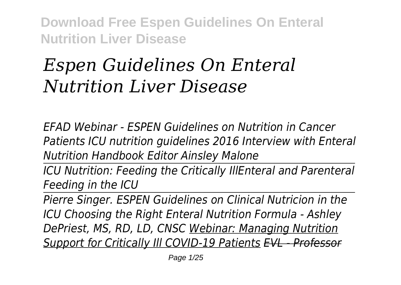# *Espen Guidelines On Enteral Nutrition Liver Disease*

*EFAD Webinar - ESPEN Guidelines on Nutrition in Cancer Patients ICU nutrition guidelines 2016 Interview with Enteral Nutrition Handbook Editor Ainsley Malone*

*ICU Nutrition: Feeding the Critically IllEnteral and Parenteral Feeding in the ICU*

*Pierre Singer. ESPEN Guidelines on Clinical Nutricion in the ICU Choosing the Right Enteral Nutrition Formula - Ashley DePriest, MS, RD, LD, CNSC Webinar: Managing Nutrition Support for Critically Ill COVID-19 Patients EVL - Professor*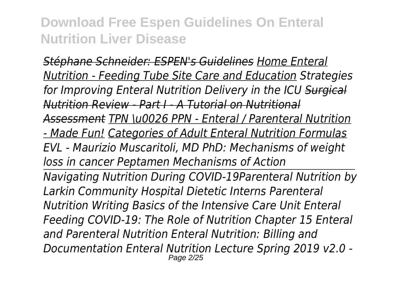*Stéphane Schneider: ESPEN's Guidelines Home Enteral Nutrition - Feeding Tube Site Care and Education Strategies for Improving Enteral Nutrition Delivery in the ICU Surgical Nutrition Review - Part I - A Tutorial on Nutritional Assessment TPN \u0026 PPN - Enteral / Parenteral Nutrition - Made Fun! Categories of Adult Enteral Nutrition Formulas EVL - Maurizio Muscaritoli, MD PhD: Mechanisms of weight loss in cancer Peptamen Mechanisms of Action Navigating Nutrition During COVID-19Parenteral Nutrition by Larkin Community Hospital Dietetic Interns Parenteral Nutrition Writing Basics of the Intensive Care Unit Enteral Feeding COVID-19: The Role of Nutrition Chapter 15 Enteral and Parenteral Nutrition Enteral Nutrition: Billing and Documentation Enteral Nutrition Lecture Spring 2019 v2.0 -* Page 2/25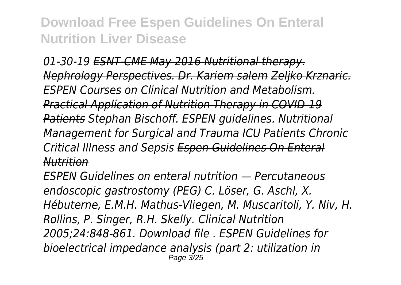01-30-19 ESNT-CME May 2016 Nutritional therap *Nephrology Perspectives. Dr. Kariem salem Zeljko Krznaric. ESPEN Courses on Clinical Nutrition and Metabolism. Practical Application of Nutrition Therapy in COVID-19 Patients Stephan Bischoff. ESPEN guidelines. Nutritional Management for Surgical and Trauma ICU Patients Chronic Critical Illness and Sepsis Espen Guidelines On Enteral Nutrition*

*ESPEN Guidelines on enteral nutrition — Percutaneous endoscopic gastrostomy (PEG) C. Löser, G. Aschl, X. Hébuterne, E.M.H. Mathus-Vliegen, M. Muscaritoli, Y. Niv, H. Rollins, P. Singer, R.H. Skelly. Clinical Nutrition 2005;24:848-861. Download file . ESPEN Guidelines for bioelectrical impedance analysis (part 2: utilization in* Page 3/25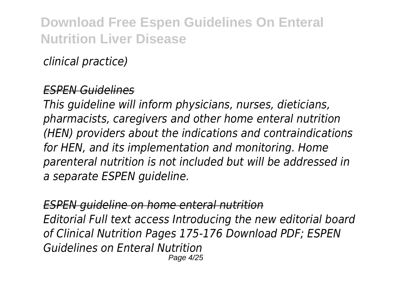*clinical practice)*

#### *ESPEN Guidelines*

*This guideline will inform physicians, nurses, dieticians, pharmacists, caregivers and other home enteral nutrition (HEN) providers about the indications and contraindications for HEN, and its implementation and monitoring. Home parenteral nutrition is not included but will be addressed in a separate ESPEN guideline.*

*ESPEN guideline on home enteral nutrition Editorial Full text access Introducing the new editorial board of Clinical Nutrition Pages 175-176 Download PDF; ESPEN Guidelines on Enteral Nutrition* Page 4/25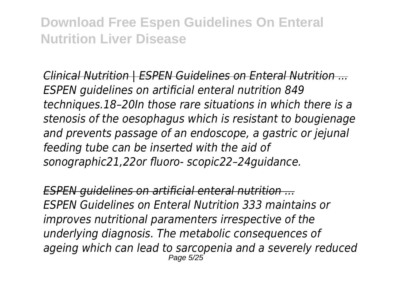*Clinical Nutrition | ESPEN Guidelines on Enteral Nutrition ... ESPEN guidelines on artificial enteral nutrition 849 techniques.18–20In those rare situations in which there is a stenosis of the oesophagus which is resistant to bougienage and prevents passage of an endoscope, a gastric or jejunal feeding tube can be inserted with the aid of sonographic21,22or fluoro- scopic22–24guidance.*

*ESPEN guidelines on artificial enteral nutrition ... ESPEN Guidelines on Enteral Nutrition 333 maintains or improves nutritional paramenters irrespective of the underlying diagnosis. The metabolic consequences of ageing which can lead to sarcopenia and a severely reduced* Page 5/25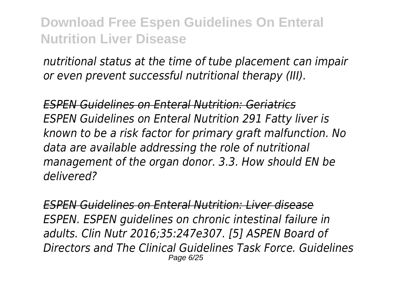*nutritional status at the time of tube placement can impair or even prevent successful nutritional therapy (III).*

*ESPEN Guidelines on Enteral Nutrition: Geriatrics ESPEN Guidelines on Enteral Nutrition 291 Fatty liver is known to be a risk factor for primary graft malfunction. No data are available addressing the role of nutritional management of the organ donor. 3.3. How should EN be delivered?*

*ESPEN Guidelines on Enteral Nutrition: Liver disease ESPEN. ESPEN guidelines on chronic intestinal failure in adults. Clin Nutr 2016;35:247e307. [5] ASPEN Board of Directors and The Clinical Guidelines Task Force. Guidelines* Page 6/25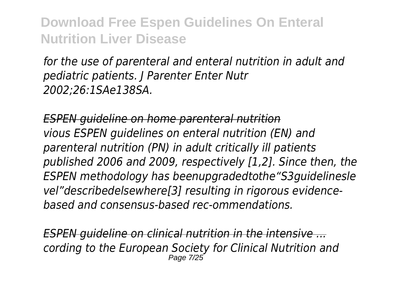*for the use of parenteral and enteral nutrition in adult and pediatric patients. J Parenter Enter Nutr 2002;26:1SAe138SA.*

*ESPEN guideline on home parenteral nutrition vious ESPEN guidelines on enteral nutrition (EN) and parenteral nutrition (PN) in adult critically ill patients published 2006 and 2009, respectively [1,2]. Since then, the ESPEN methodology has beenupgradedtothe"S3guidelinesle vel"describedelsewhere[3] resulting in rigorous evidencebased and consensus-based rec-ommendations.*

*ESPEN guideline on clinical nutrition in the intensive ... cording to the European Society for Clinical Nutrition and* Page 7/25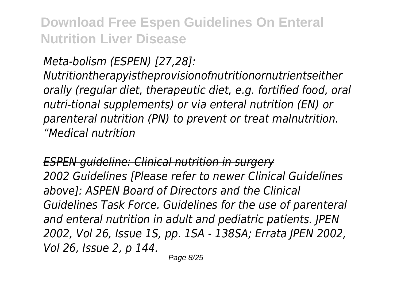*Meta-bolism (ESPEN) [27,28]:*

*Nutritiontherapyistheprovisionofnutritionornutrientseither orally (regular diet, therapeutic diet, e.g. fortified food, oral nutri-tional supplements) or via enteral nutrition (EN) or parenteral nutrition (PN) to prevent or treat malnutrition. "Medical nutrition*

*ESPEN guideline: Clinical nutrition in surgery 2002 Guidelines [Please refer to newer Clinical Guidelines above]: ASPEN Board of Directors and the Clinical Guidelines Task Force. Guidelines for the use of parenteral and enteral nutrition in adult and pediatric patients. JPEN 2002, Vol 26, Issue 1S, pp. 1SA - 138SA; Errata JPEN 2002, Vol 26, Issue 2, p 144.*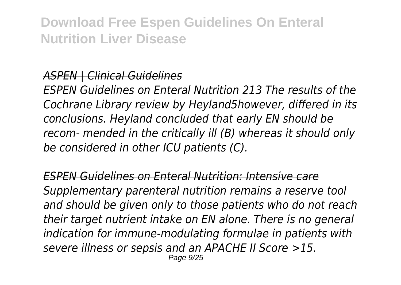### *ASPEN | Clinical Guidelines*

*ESPEN Guidelines on Enteral Nutrition 213 The results of the Cochrane Library review by Heyland5however, differed in its conclusions. Heyland concluded that early EN should be recom- mended in the critically ill (B) whereas it should only be considered in other ICU patients (C).*

*ESPEN Guidelines on Enteral Nutrition: Intensive care Supplementary parenteral nutrition remains a reserve tool and should be given only to those patients who do not reach their target nutrient intake on EN alone. There is no general indication for immune-modulating formulae in patients with severe illness or sepsis and an APACHE II Score >15.* Page 9/25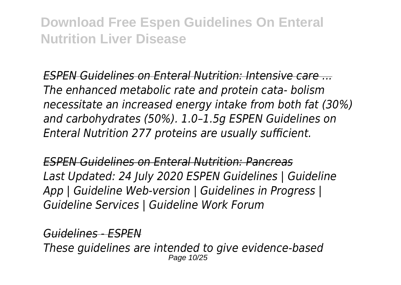*ESPEN Guidelines on Enteral Nutrition: Intensive care ... The enhanced metabolic rate and protein cata- bolism necessitate an increased energy intake from both fat (30%) and carbohydrates (50%). 1.0–1.5g ESPEN Guidelines on Enteral Nutrition 277 proteins are usually sufficient.*

*ESPEN Guidelines on Enteral Nutrition: Pancreas Last Updated: 24 July 2020 ESPEN Guidelines | Guideline App | Guideline Web-version | Guidelines in Progress | Guideline Services | Guideline Work Forum*

*Guidelines - ESPEN*

*These guidelines are intended to give evidence-based* Page 10/25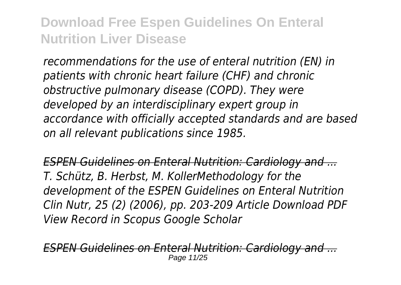*recommendations for the use of enteral nutrition (EN) in patients with chronic heart failure (CHF) and chronic obstructive pulmonary disease (COPD). They were developed by an interdisciplinary expert group in accordance with officially accepted standards and are based on all relevant publications since 1985.*

*ESPEN Guidelines on Enteral Nutrition: Cardiology and ... T. Schütz, B. Herbst, M. KollerMethodology for the development of the ESPEN Guidelines on Enteral Nutrition Clin Nutr, 25 (2) (2006), pp. 203-209 Article Download PDF View Record in Scopus Google Scholar*

*ESPEN Guidelines on Enteral Nutrition: Cardiology and ...* Page 11/25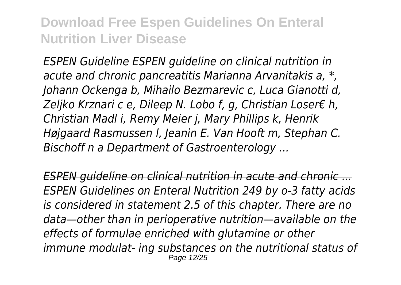*ESPEN Guideline ESPEN guideline on clinical nutrition in acute and chronic pancreatitis Marianna Arvanitakis a, \*, Johann Ockenga b, Mihailo Bezmarevic c, Luca Gianotti d, Zeljko Krznari c e, Dileep N. Lobo f, g, Christian Loser€ h, Christian Madl i, Remy Meier j, Mary Phillips k, Henrik Højgaard Rasmussen l, Jeanin E. Van Hooft m, Stephan C. Bischoff n a Department of Gastroenterology ...*

*ESPEN guideline on clinical nutrition in acute and chronic ... ESPEN Guidelines on Enteral Nutrition 249 by o-3 fatty acids is considered in statement 2.5 of this chapter. There are no data—other than in perioperative nutrition—available on the effects of formulae enriched with glutamine or other immune modulat- ing substances on the nutritional status of* Page 12/25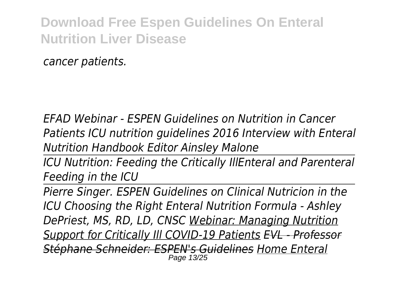*cancer patients.*

*EFAD Webinar - ESPEN Guidelines on Nutrition in Cancer Patients ICU nutrition guidelines 2016 Interview with Enteral Nutrition Handbook Editor Ainsley Malone*

*ICU Nutrition: Feeding the Critically IllEnteral and Parenteral Feeding in the ICU*

*Pierre Singer. ESPEN Guidelines on Clinical Nutricion in the ICU Choosing the Right Enteral Nutrition Formula - Ashley DePriest, MS, RD, LD, CNSC Webinar: Managing Nutrition Support for Critically Ill COVID-19 Patients EVL - Professor Stéphane Schneider: ESPEN's Guidelines Home Enteral* Page 13/25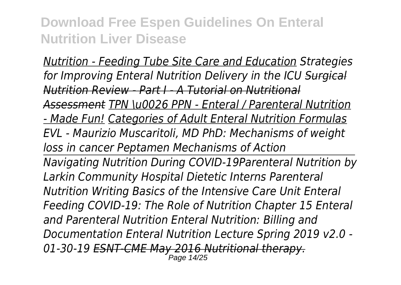*Nutrition - Feeding Tube Site Care and Education Strategies for Improving Enteral Nutrition Delivery in the ICU Surgical Nutrition Review - Part I - A Tutorial on Nutritional Assessment TPN \u0026 PPN - Enteral / Parenteral Nutrition - Made Fun! Categories of Adult Enteral Nutrition Formulas EVL - Maurizio Muscaritoli, MD PhD: Mechanisms of weight loss in cancer Peptamen Mechanisms of Action Navigating Nutrition During COVID-19Parenteral Nutrition by Larkin Community Hospital Dietetic Interns Parenteral Nutrition Writing Basics of the Intensive Care Unit Enteral Feeding COVID-19: The Role of Nutrition Chapter 15 Enteral and Parenteral Nutrition Enteral Nutrition: Billing and Documentation Enteral Nutrition Lecture Spring 2019 v2.0 - 01-30-19 ESNT-CME May 2016 Nutritional therapy.* Page 14/25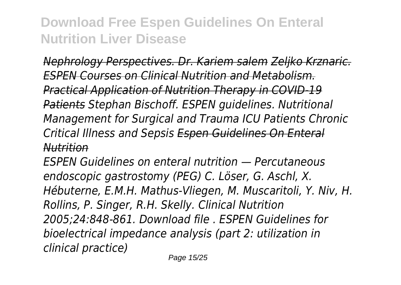*Nephrology Perspectives. Dr. Kariem salem Zeljko Krznaric. ESPEN Courses on Clinical Nutrition and Metabolism. Practical Application of Nutrition Therapy in COVID-19 Patients Stephan Bischoff. ESPEN guidelines. Nutritional Management for Surgical and Trauma ICU Patients Chronic Critical Illness and Sepsis Espen Guidelines On Enteral Nutrition*

*ESPEN Guidelines on enteral nutrition — Percutaneous endoscopic gastrostomy (PEG) C. Löser, G. Aschl, X. Hébuterne, E.M.H. Mathus-Vliegen, M. Muscaritoli, Y. Niv, H. Rollins, P. Singer, R.H. Skelly. Clinical Nutrition 2005;24:848-861. Download file . ESPEN Guidelines for bioelectrical impedance analysis (part 2: utilization in clinical practice)*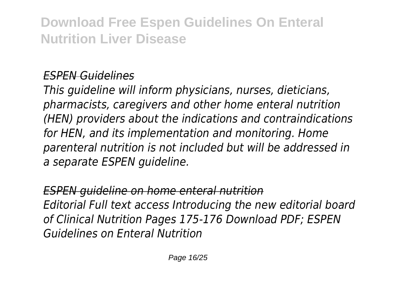### *ESPEN Guidelines*

*This guideline will inform physicians, nurses, dieticians, pharmacists, caregivers and other home enteral nutrition (HEN) providers about the indications and contraindications for HEN, and its implementation and monitoring. Home parenteral nutrition is not included but will be addressed in a separate ESPEN guideline.*

### *ESPEN guideline on home enteral nutrition Editorial Full text access Introducing the new editorial board of Clinical Nutrition Pages 175-176 Download PDF; ESPEN Guidelines on Enteral Nutrition*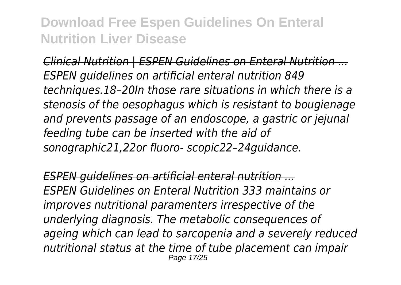*Clinical Nutrition | ESPEN Guidelines on Enteral Nutrition ... ESPEN guidelines on artificial enteral nutrition 849 techniques.18–20In those rare situations in which there is a stenosis of the oesophagus which is resistant to bougienage and prevents passage of an endoscope, a gastric or jejunal feeding tube can be inserted with the aid of sonographic21,22or fluoro- scopic22–24guidance.*

*ESPEN guidelines on artificial enteral nutrition ... ESPEN Guidelines on Enteral Nutrition 333 maintains or improves nutritional paramenters irrespective of the underlying diagnosis. The metabolic consequences of ageing which can lead to sarcopenia and a severely reduced nutritional status at the time of tube placement can impair* Page 17/25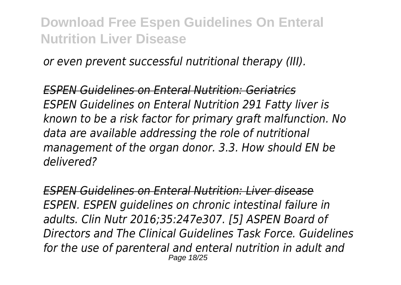*or even prevent successful nutritional therapy (III).*

*ESPEN Guidelines on Enteral Nutrition: Geriatrics ESPEN Guidelines on Enteral Nutrition 291 Fatty liver is known to be a risk factor for primary graft malfunction. No data are available addressing the role of nutritional management of the organ donor. 3.3. How should EN be delivered?*

*ESPEN Guidelines on Enteral Nutrition: Liver disease ESPEN. ESPEN guidelines on chronic intestinal failure in adults. Clin Nutr 2016;35:247e307. [5] ASPEN Board of Directors and The Clinical Guidelines Task Force. Guidelines for the use of parenteral and enteral nutrition in adult and* Page 18/25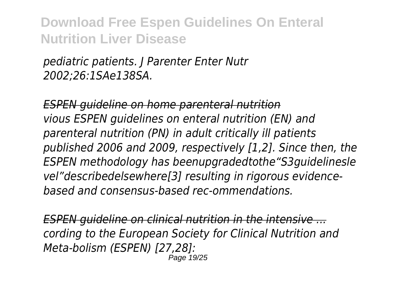*pediatric patients. J Parenter Enter Nutr 2002;26:1SAe138SA.*

*ESPEN guideline on home parenteral nutrition vious ESPEN guidelines on enteral nutrition (EN) and parenteral nutrition (PN) in adult critically ill patients published 2006 and 2009, respectively [1,2]. Since then, the ESPEN methodology has beenupgradedtothe"S3guidelinesle vel"describedelsewhere[3] resulting in rigorous evidencebased and consensus-based rec-ommendations.*

*ESPEN guideline on clinical nutrition in the intensive ... cording to the European Society for Clinical Nutrition and Meta-bolism (ESPEN) [27,28]:* Page 19/25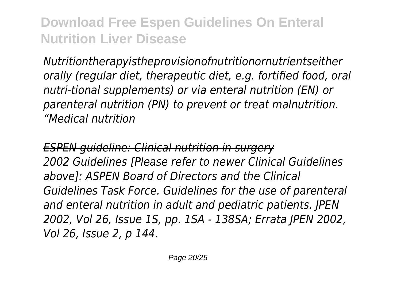*Nutritiontherapyistheprovisionofnutritionornutrientseither orally (regular diet, therapeutic diet, e.g. fortified food, oral nutri-tional supplements) or via enteral nutrition (EN) or parenteral nutrition (PN) to prevent or treat malnutrition. "Medical nutrition*

*ESPEN guideline: Clinical nutrition in surgery 2002 Guidelines [Please refer to newer Clinical Guidelines above]: ASPEN Board of Directors and the Clinical Guidelines Task Force. Guidelines for the use of parenteral and enteral nutrition in adult and pediatric patients. JPEN 2002, Vol 26, Issue 1S, pp. 1SA - 138SA; Errata JPEN 2002, Vol 26, Issue 2, p 144.*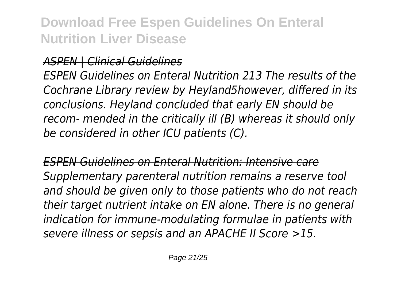#### *ASPEN | Clinical Guidelines*

*ESPEN Guidelines on Enteral Nutrition 213 The results of the Cochrane Library review by Heyland5however, differed in its conclusions. Heyland concluded that early EN should be recom- mended in the critically ill (B) whereas it should only be considered in other ICU patients (C).*

*ESPEN Guidelines on Enteral Nutrition: Intensive care Supplementary parenteral nutrition remains a reserve tool and should be given only to those patients who do not reach their target nutrient intake on EN alone. There is no general indication for immune-modulating formulae in patients with severe illness or sepsis and an APACHE II Score >15.*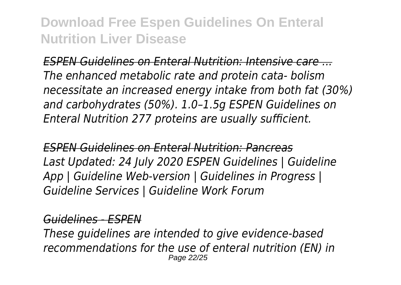*ESPEN Guidelines on Enteral Nutrition: Intensive care ... The enhanced metabolic rate and protein cata- bolism necessitate an increased energy intake from both fat (30%) and carbohydrates (50%). 1.0–1.5g ESPEN Guidelines on Enteral Nutrition 277 proteins are usually sufficient.*

*ESPEN Guidelines on Enteral Nutrition: Pancreas Last Updated: 24 July 2020 ESPEN Guidelines | Guideline App | Guideline Web-version | Guidelines in Progress | Guideline Services | Guideline Work Forum*

#### *Guidelines - ESPEN*

*These guidelines are intended to give evidence-based recommendations for the use of enteral nutrition (EN) in* Page 22/25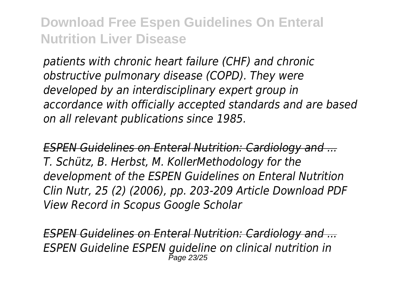*patients with chronic heart failure (CHF) and chronic obstructive pulmonary disease (COPD). They were developed by an interdisciplinary expert group in accordance with officially accepted standards and are based on all relevant publications since 1985.*

*ESPEN Guidelines on Enteral Nutrition: Cardiology and ... T. Schütz, B. Herbst, M. KollerMethodology for the development of the ESPEN Guidelines on Enteral Nutrition Clin Nutr, 25 (2) (2006), pp. 203-209 Article Download PDF View Record in Scopus Google Scholar*

*ESPEN Guidelines on Enteral Nutrition: Cardiology and ... ESPEN Guideline ESPEN guideline on clinical nutrition in* Page 23/25